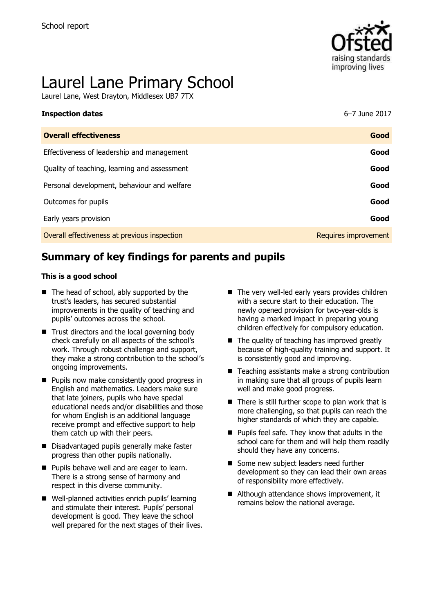

# Laurel Lane Primary School

Laurel Lane, West Drayton, Middlesex UB7 7TX

| <b>Inspection dates</b>                      | 6–7 June 2017        |
|----------------------------------------------|----------------------|
| <b>Overall effectiveness</b>                 | Good                 |
| Effectiveness of leadership and management   | Good                 |
| Quality of teaching, learning and assessment | Good                 |
| Personal development, behaviour and welfare  | Good                 |
| Outcomes for pupils                          | Good                 |
| Early years provision                        | Good                 |
| Overall effectiveness at previous inspection | Requires improvement |

# **Summary of key findings for parents and pupils**

#### **This is a good school**

- The head of school, ably supported by the trust's leaders, has secured substantial improvements in the quality of teaching and pupils' outcomes across the school.
- $\blacksquare$  Trust directors and the local governing body check carefully on all aspects of the school's work. Through robust challenge and support, they make a strong contribution to the school's ongoing improvements.
- **Pupils now make consistently good progress in** English and mathematics. Leaders make sure that late joiners, pupils who have special educational needs and/or disabilities and those for whom English is an additional language receive prompt and effective support to help them catch up with their peers.
- Disadvantaged pupils generally make faster progress than other pupils nationally.
- **Pupils behave well and are eager to learn.** There is a strong sense of harmony and respect in this diverse community.
- Well-planned activities enrich pupils' learning and stimulate their interest. Pupils' personal development is good. They leave the school well prepared for the next stages of their lives.
- $\blacksquare$  The very well-led early vears provides children with a secure start to their education. The newly opened provision for two-year-olds is having a marked impact in preparing young children effectively for compulsory education.
- $\blacksquare$  The quality of teaching has improved greatly because of high-quality training and support. It is consistently good and improving.
- Teaching assistants make a strong contribution in making sure that all groups of pupils learn well and make good progress.
- $\blacksquare$  There is still further scope to plan work that is more challenging, so that pupils can reach the higher standards of which they are capable.
- **Pupils feel safe. They know that adults in the** school care for them and will help them readily should they have any concerns.
- Some new subject leaders need further development so they can lead their own areas of responsibility more effectively.
- Although attendance shows improvement, it remains below the national average.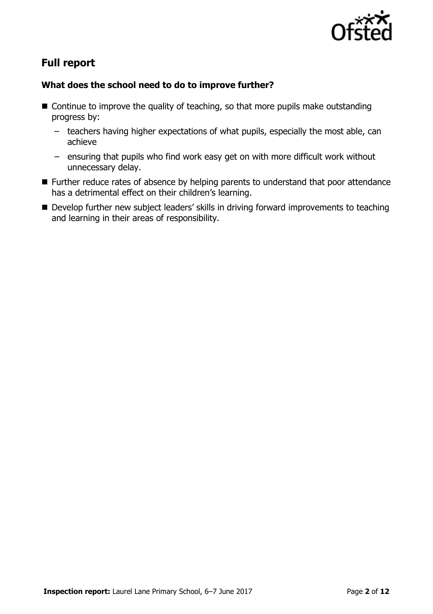

# **Full report**

### **What does the school need to do to improve further?**

- $\blacksquare$  Continue to improve the quality of teaching, so that more pupils make outstanding progress by:
	- teachers having higher expectations of what pupils, especially the most able, can achieve
	- ensuring that pupils who find work easy get on with more difficult work without unnecessary delay.
- Further reduce rates of absence by helping parents to understand that poor attendance has a detrimental effect on their children's learning.
- Develop further new subject leaders' skills in driving forward improvements to teaching and learning in their areas of responsibility.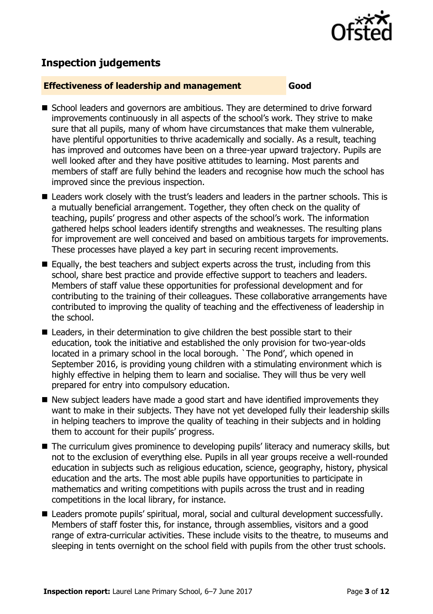

# **Inspection judgements**

#### **Effectiveness of leadership and management Good**

- School leaders and governors are ambitious. They are determined to drive forward improvements continuously in all aspects of the school's work. They strive to make sure that all pupils, many of whom have circumstances that make them vulnerable, have plentiful opportunities to thrive academically and socially. As a result, teaching has improved and outcomes have been on a three-year upward trajectory. Pupils are well looked after and they have positive attitudes to learning. Most parents and members of staff are fully behind the leaders and recognise how much the school has improved since the previous inspection.
- Leaders work closely with the trust's leaders and leaders in the partner schools. This is a mutually beneficial arrangement. Together, they often check on the quality of teaching, pupils' progress and other aspects of the school's work. The information gathered helps school leaders identify strengths and weaknesses. The resulting plans for improvement are well conceived and based on ambitious targets for improvements. These processes have played a key part in securing recent improvements.
- $\blacksquare$  Equally, the best teachers and subject experts across the trust, including from this school, share best practice and provide effective support to teachers and leaders. Members of staff value these opportunities for professional development and for contributing to the training of their colleagues. These collaborative arrangements have contributed to improving the quality of teaching and the effectiveness of leadership in the school.
- Leaders, in their determination to give children the best possible start to their education, took the initiative and established the only provision for two-year-olds located in a primary school in the local borough. `The Pond', which opened in September 2016, is providing young children with a stimulating environment which is highly effective in helping them to learn and socialise. They will thus be very well prepared for entry into compulsory education.
- New subject leaders have made a good start and have identified improvements they want to make in their subjects. They have not yet developed fully their leadership skills in helping teachers to improve the quality of teaching in their subjects and in holding them to account for their pupils' progress.
- The curriculum gives prominence to developing pupils' literacy and numeracy skills, but not to the exclusion of everything else. Pupils in all year groups receive a well-rounded education in subjects such as religious education, science, geography, history, physical education and the arts. The most able pupils have opportunities to participate in mathematics and writing competitions with pupils across the trust and in reading competitions in the local library, for instance.
- Leaders promote pupils' spiritual, moral, social and cultural development successfully. Members of staff foster this, for instance, through assemblies, visitors and a good range of extra-curricular activities. These include visits to the theatre, to museums and sleeping in tents overnight on the school field with pupils from the other trust schools.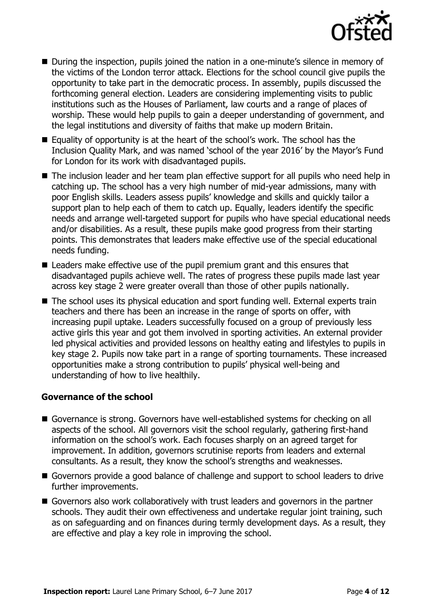

- During the inspection, pupils joined the nation in a one-minute's silence in memory of the victims of the London terror attack. Elections for the school council give pupils the opportunity to take part in the democratic process. In assembly, pupils discussed the forthcoming general election. Leaders are considering implementing visits to public institutions such as the Houses of Parliament, law courts and a range of places of worship. These would help pupils to gain a deeper understanding of government, and the legal institutions and diversity of faiths that make up modern Britain.
- Equality of opportunity is at the heart of the school's work. The school has the Inclusion Quality Mark, and was named 'school of the year 2016' by the Mayor's Fund for London for its work with disadvantaged pupils.
- The inclusion leader and her team plan effective support for all pupils who need help in catching up. The school has a very high number of mid-year admissions, many with poor English skills. Leaders assess pupils' knowledge and skills and quickly tailor a support plan to help each of them to catch up. Equally, leaders identify the specific needs and arrange well-targeted support for pupils who have special educational needs and/or disabilities. As a result, these pupils make good progress from their starting points. This demonstrates that leaders make effective use of the special educational needs funding.
- Leaders make effective use of the pupil premium grant and this ensures that disadvantaged pupils achieve well. The rates of progress these pupils made last year across key stage 2 were greater overall than those of other pupils nationally.
- The school uses its physical education and sport funding well. External experts train teachers and there has been an increase in the range of sports on offer, with increasing pupil uptake. Leaders successfully focused on a group of previously less active girls this year and got them involved in sporting activities. An external provider led physical activities and provided lessons on healthy eating and lifestyles to pupils in key stage 2. Pupils now take part in a range of sporting tournaments. These increased opportunities make a strong contribution to pupils' physical well-being and understanding of how to live healthily.

#### **Governance of the school**

- Governance is strong. Governors have well-established systems for checking on all aspects of the school. All governors visit the school regularly, gathering first-hand information on the school's work. Each focuses sharply on an agreed target for improvement. In addition, governors scrutinise reports from leaders and external consultants. As a result, they know the school's strengths and weaknesses.
- Governors provide a good balance of challenge and support to school leaders to drive further improvements.
- Governors also work collaboratively with trust leaders and governors in the partner schools. They audit their own effectiveness and undertake regular joint training, such as on safeguarding and on finances during termly development days. As a result, they are effective and play a key role in improving the school.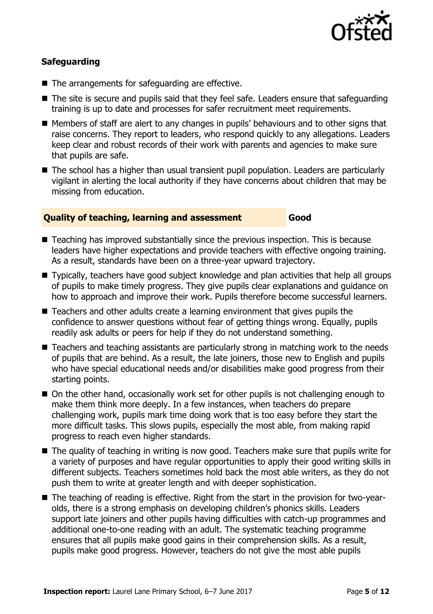

### **Safeguarding**

- The arrangements for safeguarding are effective.
- The site is secure and pupils said that they feel safe. Leaders ensure that safeguarding training is up to date and processes for safer recruitment meet requirements.
- Members of staff are alert to any changes in pupils' behaviours and to other signs that raise concerns. They report to leaders, who respond quickly to any allegations. Leaders keep clear and robust records of their work with parents and agencies to make sure that pupils are safe.
- The school has a higher than usual transient pupil population. Leaders are particularly vigilant in alerting the local authority if they have concerns about children that may be missing from education.

#### **Quality of teaching, learning and assessment Good**

- Teaching has improved substantially since the previous inspection. This is because leaders have higher expectations and provide teachers with effective ongoing training. As a result, standards have been on a three-year upward trajectory.
- Typically, teachers have good subject knowledge and plan activities that help all groups of pupils to make timely progress. They give pupils clear explanations and guidance on how to approach and improve their work. Pupils therefore become successful learners.
- Teachers and other adults create a learning environment that gives pupils the confidence to answer questions without fear of getting things wrong. Equally, pupils readily ask adults or peers for help if they do not understand something.
- Teachers and teaching assistants are particularly strong in matching work to the needs of pupils that are behind. As a result, the late joiners, those new to English and pupils who have special educational needs and/or disabilities make good progress from their starting points.
- On the other hand, occasionally work set for other pupils is not challenging enough to make them think more deeply. In a few instances, when teachers do prepare challenging work, pupils mark time doing work that is too easy before they start the more difficult tasks. This slows pupils, especially the most able, from making rapid progress to reach even higher standards.
- The quality of teaching in writing is now good. Teachers make sure that pupils write for a variety of purposes and have regular opportunities to apply their good writing skills in different subjects. Teachers sometimes hold back the most able writers, as they do not push them to write at greater length and with deeper sophistication.
- The teaching of reading is effective. Right from the start in the provision for two-yearolds, there is a strong emphasis on developing children's phonics skills. Leaders support late joiners and other pupils having difficulties with catch-up programmes and additional one-to-one reading with an adult. The systematic teaching programme ensures that all pupils make good gains in their comprehension skills. As a result, pupils make good progress. However, teachers do not give the most able pupils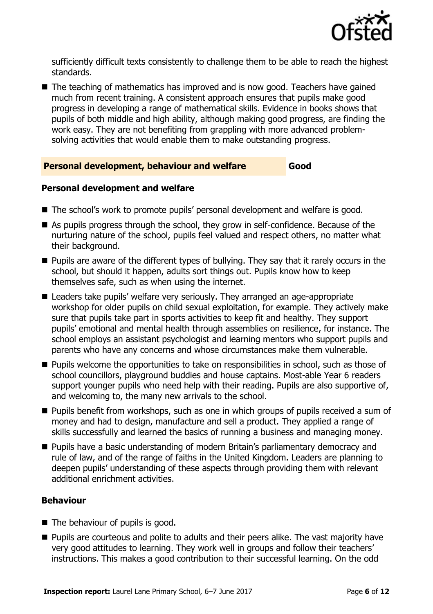

sufficiently difficult texts consistently to challenge them to be able to reach the highest standards.

■ The teaching of mathematics has improved and is now good. Teachers have gained much from recent training. A consistent approach ensures that pupils make good progress in developing a range of mathematical skills. Evidence in books shows that pupils of both middle and high ability, although making good progress, are finding the work easy. They are not benefiting from grappling with more advanced problemsolving activities that would enable them to make outstanding progress.

#### **Personal development, behaviour and welfare Good**

#### **Personal development and welfare**

- The school's work to promote pupils' personal development and welfare is good.
- As pupils progress through the school, they grow in self-confidence. Because of the nurturing nature of the school, pupils feel valued and respect others, no matter what their background.
- $\blacksquare$  Pupils are aware of the different types of bullying. They say that it rarely occurs in the school, but should it happen, adults sort things out. Pupils know how to keep themselves safe, such as when using the internet.
- Leaders take pupils' welfare very seriously. They arranged an age-appropriate workshop for older pupils on child sexual exploitation, for example. They actively make sure that pupils take part in sports activities to keep fit and healthy. They support pupils' emotional and mental health through assemblies on resilience, for instance. The school employs an assistant psychologist and learning mentors who support pupils and parents who have any concerns and whose circumstances make them vulnerable.
- **Pupils welcome the opportunities to take on responsibilities in school, such as those of** school councillors, playground buddies and house captains. Most-able Year 6 readers support younger pupils who need help with their reading. Pupils are also supportive of, and welcoming to, the many new arrivals to the school.
- **Pupils benefit from workshops, such as one in which groups of pupils received a sum of** money and had to design, manufacture and sell a product. They applied a range of skills successfully and learned the basics of running a business and managing money.
- **Pupils have a basic understanding of modern Britain's parliamentary democracy and** rule of law, and of the range of faiths in the United Kingdom. Leaders are planning to deepen pupils' understanding of these aspects through providing them with relevant additional enrichment activities.

### **Behaviour**

- $\blacksquare$  The behaviour of pupils is good.
- **Pupils are courteous and polite to adults and their peers alike. The vast majority have** very good attitudes to learning. They work well in groups and follow their teachers' instructions. This makes a good contribution to their successful learning. On the odd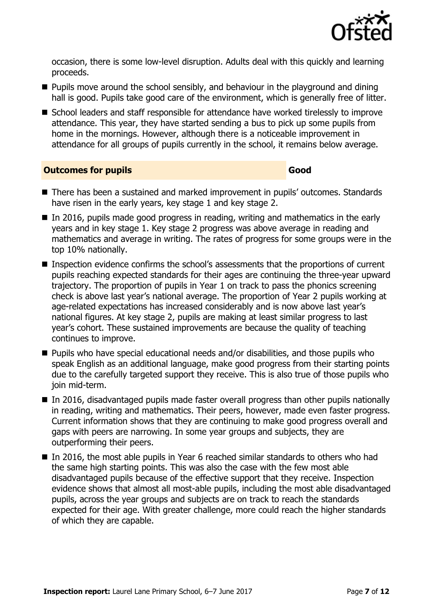

occasion, there is some low-level disruption. Adults deal with this quickly and learning proceeds.

- $\blacksquare$  Pupils move around the school sensibly, and behaviour in the playground and dining hall is good. Pupils take good care of the environment, which is generally free of litter.
- School leaders and staff responsible for attendance have worked tirelessly to improve attendance. This year, they have started sending a bus to pick up some pupils from home in the mornings. However, although there is a noticeable improvement in attendance for all groups of pupils currently in the school, it remains below average.

**Outcomes for pupils Good Good** 

- There has been a sustained and marked improvement in pupils' outcomes. Standards have risen in the early years, key stage 1 and key stage 2.
- In 2016, pupils made good progress in reading, writing and mathematics in the early years and in key stage 1. Key stage 2 progress was above average in reading and mathematics and average in writing. The rates of progress for some groups were in the top 10% nationally.
- Inspection evidence confirms the school's assessments that the proportions of current pupils reaching expected standards for their ages are continuing the three-year upward trajectory. The proportion of pupils in Year 1 on track to pass the phonics screening check is above last year's national average. The proportion of Year 2 pupils working at age-related expectations has increased considerably and is now above last year's national figures. At key stage 2, pupils are making at least similar progress to last year's cohort. These sustained improvements are because the quality of teaching continues to improve.
- Pupils who have special educational needs and/or disabilities, and those pupils who speak English as an additional language, make good progress from their starting points due to the carefully targeted support they receive. This is also true of those pupils who join mid-term.
- In 2016, disadvantaged pupils made faster overall progress than other pupils nationally in reading, writing and mathematics. Their peers, however, made even faster progress. Current information shows that they are continuing to make good progress overall and gaps with peers are narrowing. In some year groups and subjects, they are outperforming their peers.
- In 2016, the most able pupils in Year 6 reached similar standards to others who had the same high starting points. This was also the case with the few most able disadvantaged pupils because of the effective support that they receive. Inspection evidence shows that almost all most-able pupils, including the most able disadvantaged pupils, across the year groups and subjects are on track to reach the standards expected for their age. With greater challenge, more could reach the higher standards of which they are capable.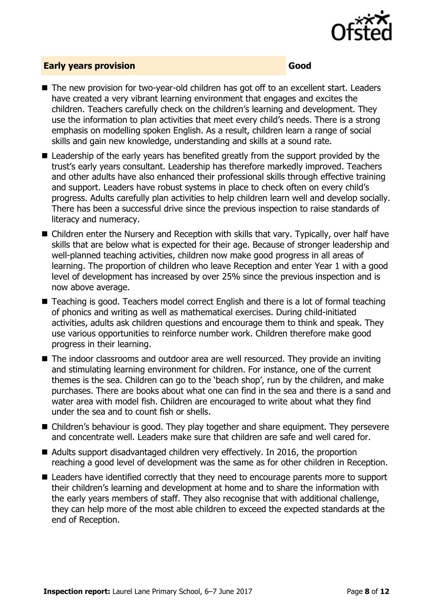

#### **Early years provision Good**

- The new provision for two-year-old children has got off to an excellent start. Leaders have created a very vibrant learning environment that engages and excites the children. Teachers carefully check on the children's learning and development. They use the information to plan activities that meet every child's needs. There is a strong emphasis on modelling spoken English. As a result, children learn a range of social skills and gain new knowledge, understanding and skills at a sound rate.
- Leadership of the early years has benefited greatly from the support provided by the trust's early years consultant. Leadership has therefore markedly improved. Teachers and other adults have also enhanced their professional skills through effective training and support. Leaders have robust systems in place to check often on every child's progress. Adults carefully plan activities to help children learn well and develop socially. There has been a successful drive since the previous inspection to raise standards of literacy and numeracy.
- Children enter the Nursery and Reception with skills that vary. Typically, over half have skills that are below what is expected for their age. Because of stronger leadership and well-planned teaching activities, children now make good progress in all areas of learning. The proportion of children who leave Reception and enter Year 1 with a good level of development has increased by over 25% since the previous inspection and is now above average.
- Teaching is good. Teachers model correct English and there is a lot of formal teaching of phonics and writing as well as mathematical exercises. During child-initiated activities, adults ask children questions and encourage them to think and speak. They use various opportunities to reinforce number work. Children therefore make good progress in their learning.
- The indoor classrooms and outdoor area are well resourced. They provide an inviting and stimulating learning environment for children. For instance, one of the current themes is the sea. Children can go to the 'beach shop', run by the children, and make purchases. There are books about what one can find in the sea and there is a sand and water area with model fish. Children are encouraged to write about what they find under the sea and to count fish or shells.
- Children's behaviour is good. They play together and share equipment. They persevere and concentrate well. Leaders make sure that children are safe and well cared for.
- Adults support disadvantaged children very effectively. In 2016, the proportion reaching a good level of development was the same as for other children in Reception.
- Leaders have identified correctly that they need to encourage parents more to support their children's learning and development at home and to share the information with the early years members of staff. They also recognise that with additional challenge, they can help more of the most able children to exceed the expected standards at the end of Reception.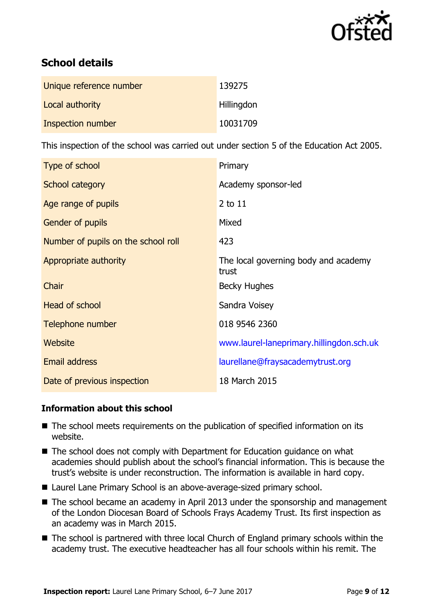

# **School details**

| Unique reference number | 139275            |
|-------------------------|-------------------|
| Local authority         | <b>Hillingdon</b> |
| Inspection number       | 10031709          |

This inspection of the school was carried out under section 5 of the Education Act 2005.

| Type of school                      | Primary                                       |
|-------------------------------------|-----------------------------------------------|
| School category                     | Academy sponsor-led                           |
| Age range of pupils                 | 2 to 11                                       |
| <b>Gender of pupils</b>             | Mixed                                         |
| Number of pupils on the school roll | 423                                           |
| Appropriate authority               | The local governing body and academy<br>trust |
| Chair                               | <b>Becky Hughes</b>                           |
| Head of school                      | Sandra Voisey                                 |
| Telephone number                    | 018 9546 2360                                 |
| Website                             | www.laurel-laneprimary.hillingdon.sch.uk      |
| <b>Email address</b>                | laurellane@fraysacademytrust.org              |
| Date of previous inspection         | 18 March 2015                                 |

### **Information about this school**

- The school meets requirements on the publication of specified information on its website.
- The school does not comply with Department for Education guidance on what academies should publish about the school's financial information. This is because the trust's website is under reconstruction. The information is available in hard copy.
- Laurel Lane Primary School is an above-average-sized primary school.
- The school became an academy in April 2013 under the sponsorship and management of the London Diocesan Board of Schools Frays Academy Trust. Its first inspection as an academy was in March 2015.
- The school is partnered with three local Church of England primary schools within the academy trust. The executive headteacher has all four schools within his remit. The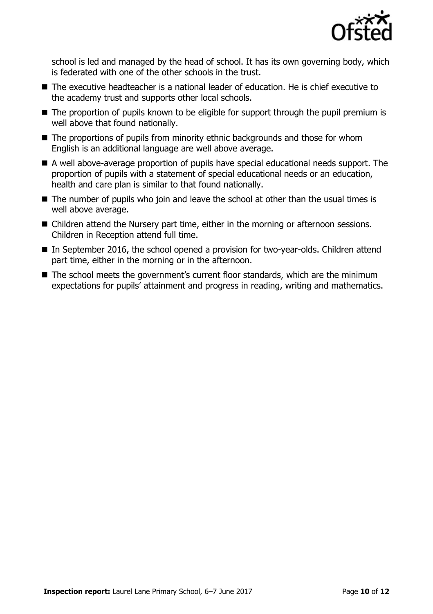

school is led and managed by the head of school. It has its own governing body, which is federated with one of the other schools in the trust.

- The executive headteacher is a national leader of education. He is chief executive to the academy trust and supports other local schools.
- The proportion of pupils known to be eligible for support through the pupil premium is well above that found nationally.
- The proportions of pupils from minority ethnic backgrounds and those for whom English is an additional language are well above average.
- A well above-average proportion of pupils have special educational needs support. The proportion of pupils with a statement of special educational needs or an education, health and care plan is similar to that found nationally.
- The number of pupils who join and leave the school at other than the usual times is well above average.
- Children attend the Nursery part time, either in the morning or afternoon sessions. Children in Reception attend full time.
- In September 2016, the school opened a provision for two-year-olds. Children attend part time, either in the morning or in the afternoon.
- The school meets the government's current floor standards, which are the minimum expectations for pupils' attainment and progress in reading, writing and mathematics.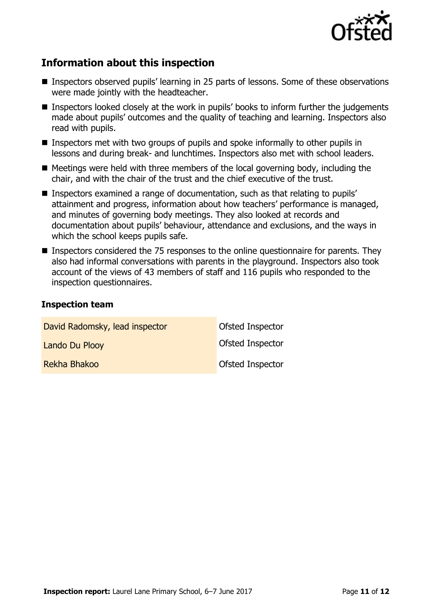

# **Information about this inspection**

- Inspectors observed pupils' learning in 25 parts of lessons. Some of these observations were made jointly with the headteacher.
- Inspectors looked closely at the work in pupils' books to inform further the judgements made about pupils' outcomes and the quality of teaching and learning. Inspectors also read with pupils.
- Inspectors met with two groups of pupils and spoke informally to other pupils in lessons and during break- and lunchtimes. Inspectors also met with school leaders.
- $\blacksquare$  Meetings were held with three members of the local governing body, including the chair, and with the chair of the trust and the chief executive of the trust.
- Inspectors examined a range of documentation, such as that relating to pupils' attainment and progress, information about how teachers' performance is managed, and minutes of governing body meetings. They also looked at records and documentation about pupils' behaviour, attendance and exclusions, and the ways in which the school keeps pupils safe.
- **Inspectors considered the 75 responses to the online questionnaire for parents. They** also had informal conversations with parents in the playground. Inspectors also took account of the views of 43 members of staff and 116 pupils who responded to the inspection questionnaires.

#### **Inspection team**

| David Radomsky, lead inspector | Ofsted Inspector |
|--------------------------------|------------------|
| Lando Du Plooy                 | Ofsted Inspector |
| Rekha Bhakoo                   | Ofsted Inspector |